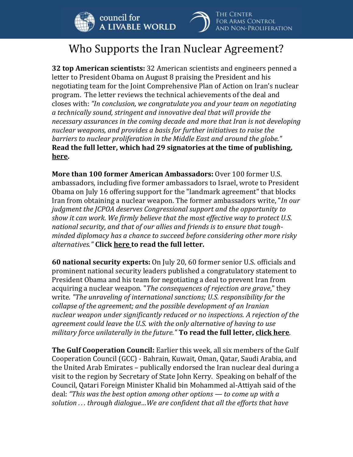



## Who Supports the Iran Nuclear Agreement?

**32 top American scientists:** 32 American scientists and engineers penned a letter to President Obama on August 8 praising the President and his negotiating team for the Joint Comprehensive Plan of Action on Iran's nuclear program. The letter reviews the technical achievements of the deal and closes with: *"In conclusion, we congratulate you and your team on negotiating a technically sound, stringent and innovative deal that will provide the necessary assurances in the coming decade and more that Iran is not developing nuclear weapons, and provides a basis for further initiatives to raise the barriers to nuclear proliferation in the Middle East and around the globe."* **Read the full letter, which had 29 signatories at the time of publishing, [here.](http://www.nytimes.com/interactive/2015/08/08/world/document-iranletteraug2015.html)**

**More than 100 former American Ambassadors:** Over 100 former U.S. ambassadors, including five former ambassadors to Israel, wrote to President Obama on July 16 offering support for the "landmark agreement" that blocks Iran from obtaining a nuclear weapon. The former ambassadors write, "*In our judgment the JCPOA deserves Congressional support and the opportunity to show it can work. We firmly believe that the most effective way to protect U.S. national security, and that of our allies and friends is to ensure that toughminded diplomacy has a chance to succeed before considering other more risky alternatives."* **Click [here](http://www.nytimes.com/interactive/2015/07/16/us/politics/document-american-ambassadors-letter.html) to read the full letter.**

**60 national security experts:** On July 20, 60 former senior U.S. officials and prominent national security leaders published a congratulatory statement to President Obama and his team for negotiating a deal to prevent Iran from acquiring a nuclear weapon. "*The consequences of rejection are grave*," they write. *"The unraveling of international sanctions; U.S. responsibility for the collapse of the agreement; and the possible development of an Iranian nuclear weapon under significantly reduced or no inspections. A rejection of the agreement could leave the U.S. with the only alternative of having to use military force unilaterally in the future."* **To read the full letter, [click here](https://www.scribd.com/doc/271988995/Statement-by-60-National-Security-Leaders-on-the-Announcement-of-a-Joint-Comprehensive-Plan-of-Action?ct=t%28%29&goal=0_efecee0f27-3c88171ef4-&utm_campaign=3c88171ef4-&utm_medium=email&utm_source=Congressional+Contacts&utm_term=0_efecee0f27-3c88171ef4-)**.

**The Gulf Cooperation Council:** Earlier this week, all six members of the Gulf Cooperation Council (GCC) - Bahrain, Kuwait, Oman, Qatar, Saudi Arabia, and the United Arab Emirates – publically endorsed the Iran nuclear deal during a visit to the region by Secretary of State John Kerry. Speaking on behalf of the Council, Qatari Foreign Minister Khalid bin Mohammed al-Attiyah said of the deal: *"This was the best option among other options — to come up with a solution . . . through dialogue…We are confident that all the efforts that have*